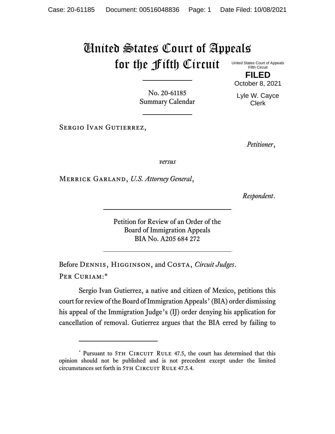## United States Court of Appeals for the Fifth Circuit United States Court of Appeals

Fifth Circuit **FILED**

October 8, 2021

Lyle W. Cayce Clerk

No. 20-61185 Summary Calendar

*Petitioner*,

*versus*

Merrick Garland, *U.S. Attorney General*,

Sergio Ivan Gutierrez,

*Respondent*.

Petition for Review of an Order of the Board of Immigration Appeals BIA No. A205 684 272

Before Dennis, Higginson, and Costa, *Circuit Judges*. Per Curiam:\*

Sergio Ivan Gutierrez, a native and citizen of Mexico, petitions this court for review of the Board of Immigration Appeals'(BIA) order dismissing his appeal of the Immigration Judge's (IJ) order denying his application for cancellation of removal. Gutierrez argues that the BIA erred by failing to

<sup>\*</sup> Pursuant to 5TH CIRCUIT RULE 47.5, the court has determined that this opinion should not be published and is not precedent except under the limited circumstances set forth in 5TH CIRCUIT RULE 47.5.4.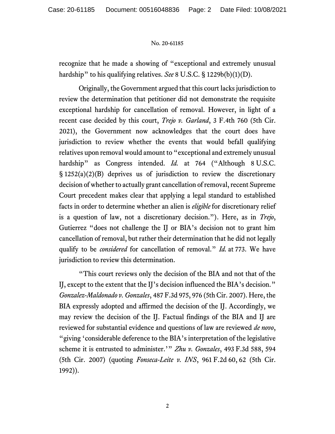## No. 20-61185

recognize that he made a showing of "exceptional and extremely unusual hardship" to his qualifying relatives. *See* 8 U.S.C. § 1229b(b)(1)(D).

Originally, the Government argued that this court lacks jurisdiction to review the determination that petitioner did not demonstrate the requisite exceptional hardship for cancellation of removal. However, in light of a recent case decided by this court, *Trejo v. Garland*, 3 F.4th 760 (5th Cir. 2021), the Government now acknowledges that the court does have jurisdiction to review whether the events that would befall qualifying relatives upon removal would amount to "exceptional and extremely unusual hardship" as Congress intended. *Id.* at 764 ("Although 8 U.S.C. § 1252(a)(2)(B) deprives us of jurisdiction to review the discretionary decision of whether to actually grant cancellation of removal, recent Supreme Court precedent makes clear that applying a legal standard to established facts in order to determine whether an alien is *eligible* for discretionary relief is a question of law, not a discretionary decision."). Here, as in *Trejo*, Gutierrez "does not challenge the IJ or BIA's decision not to grant him cancellation of removal, but rather their determination that he did not legally qualify to be *considered* for cancellation of removal." *Id.* at 773. We have jurisdiction to review this determination.

"This court reviews only the decision of the BIA and not that of the IJ, except to the extent that the IJ's decision influenced the BIA's decision." *Gonzalez-Maldonado v. Gonzales*, 487 F.3d 975, 976 (5th Cir. 2007). Here, the BIA expressly adopted and affirmed the decision of the IJ. Accordingly, we may review the decision of the IJ. Factual findings of the BIA and IJ are reviewed for substantial evidence and questions of law are reviewed *de novo*, "giving 'considerable deference to the BIA's interpretation of the legislative scheme it is entrusted to administer.'" *Zhu v. Gonzales*, 493 F.3d 588, 594 (5th Cir. 2007) (quoting *Fonseca-Leite v. INS*, 961 F.2d 60, 62 (5th Cir. 1992)).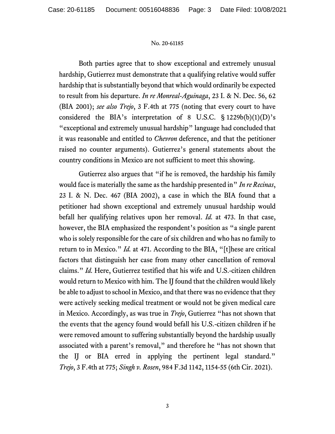## No. 20-61185

Both parties agree that to show exceptional and extremely unusual hardship, Gutierrez must demonstrate that a qualifying relative would suffer hardship that is substantially beyond that which would ordinarily be expected to result from his departure. *In re Monreal-Aguinaga*, 23 I. & N. Dec. 56, 62 (BIA 2001); *see also Trejo*, 3 F.4th at 775 (noting that every court to have considered the BIA's interpretation of 8 U.S.C.  $\S$  1229b(b)(1)(D)'s "exceptional and extremely unusual hardship" language had concluded that it was reasonable and entitled to *Chevron* deference, and that the petitioner raised no counter arguments). Gutierrez's general statements about the country conditions in Mexico are not sufficient to meet this showing.

Gutierrez also argues that "if he is removed, the hardship his family would face is materially the same as the hardship presented in" *In re Recinas*, 23 I. & N. Dec. 467 (BIA 2002), a case in which the BIA found that a petitioner had shown exceptional and extremely unusual hardship would befall her qualifying relatives upon her removal. *Id.* at 473. In that case, however, the BIA emphasized the respondent's position as "a single parent who is solely responsible for the care of six children and who has no family to return to in Mexico." *Id.* at 471. According to the BIA, "[t]hese are critical factors that distinguish her case from many other cancellation of removal claims." *Id.* Here, Gutierrez testified that his wife and U.S.-citizen children would return to Mexico with him. The IJ found that the children would likely be able to adjust to school in Mexico, and that there was no evidence that they were actively seeking medical treatment or would not be given medical care in Mexico. Accordingly, as was true in *Trejo*, Gutierrez "has not shown that the events that the agency found would befall his U.S.-citizen children if he were removed amount to suffering substantially beyond the hardship usually associated with a parent's removal," and therefore he "has not shown that the IJ or BIA erred in applying the pertinent legal standard." *Trejo*, 3 F.4th at 775; *Singh v. Rosen*, 984 F.3d 1142, 1154-55 (6th Cir. 2021).